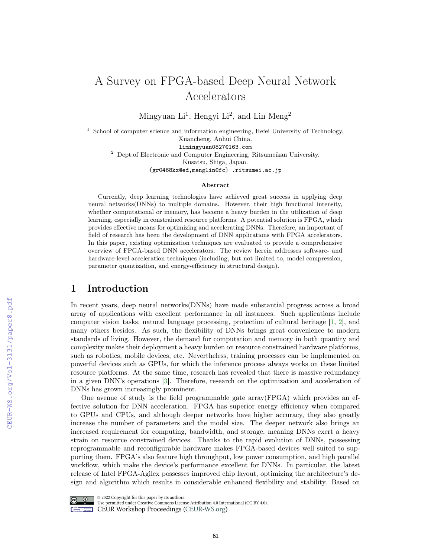# A Survey on FPGA-based Deep Neural Network Accelerators

Mingyuan  $Li<sup>1</sup>$ , Hengyi  $Li<sup>2</sup>$ , and Lin Meng<sup>2</sup>

<sup>1</sup> School of computer science and information engineering, Hefei University of Technology, Xuancheng, Anhui China. limingyuan0827@163.com <sup>2</sup> Dept.of Electronic and Computer Engineering, Ritsumeikan University. Kusatsu, Shiga, Japan. {gr0468kx@ed,menglin@fc} .ritsumei.ac.jp

#### Abstract

Currently, deep learning technologies have achieved great success in applying deep neural networks(DNNs) to multiple domains. However, their high functional intensity, whether computational or memory, has become a heavy burden in the utilization of deep learning, especially in constrained resource platforms. A potential solution is FPGA, which provides effective means for optimizing and accelerating DNNs. Therefore, an important of field of research has been the development of DNN applications with FPGA accelerators. In this paper, existing optimization techniques are evaluated to provide a comprehensive overview of FPGA-based DNN accelerators. The review herein addresses software- and hardware-level acceleration techniques (including, but not limited to, model compression, parameter quantization, and energy-efficiency in structural design).

# 1 Introduction

In recent years, deep neural networks(DNNs) have made substantial progress across a broad array of applications with excellent performance in all instances. Such applications include computer vision tasks, natural language processing, protection of cultural heritage [\[1,](#page--1-0) [2\]](#page--1-1), and many others besides. As such, the flexibility of DNNs brings great convenience to modern standards of living. However, the demand for computation and memory in both quantity and complexity makes their deployment a heavy burden on resource constrained hardware platforms, such as robotics, mobile devices, etc. Nevertheless, training processes can be implemented on powerful devices such as GPUs, for which the inference process always works on these limited resource platforms. At the same time, research has revealed that there is massive redundancy in a given DNN's operations [\[3\]](#page--1-2). Therefore, research on the optimization and acceleration of DNNs has grown increasingly prominent.

One avenue of study is the field programmable gate array(FPGA) which provides an effective solution for DNN acceleration. FPGA has superior energy efficiency when compared to GPUs and CPUs, and although deeper networks have higher accuracy, they also greatly increase the number of parameters and the model size. The deeper network also brings an increased requirement for computing, bandwidth, and storage, meaning DNNs exert a heavy strain on resource constrained devices. Thanks to the rapid evolution of DNNs, possessing reprogrammable and reconfigurable hardware makes FPGA-based devices well suited to supporting them. FPGA's also feature high throughput, low power consumption, and high parallel workflow, which make the device's performance excellent for DNNs. In particular, the latest release of Intel FPGA-Agilex possesses improved chip layout, optimizing the architecture's design and algorithm which results in considerable enhanced flexibility and stability. Based on



@ 2022 Copyright for this paper by its authors.

Use permitted under Creative Commons License Attribution 4.0 International (CC BY 4.0). **CEUR Workshop Proceedings (CEUR-WS.org)**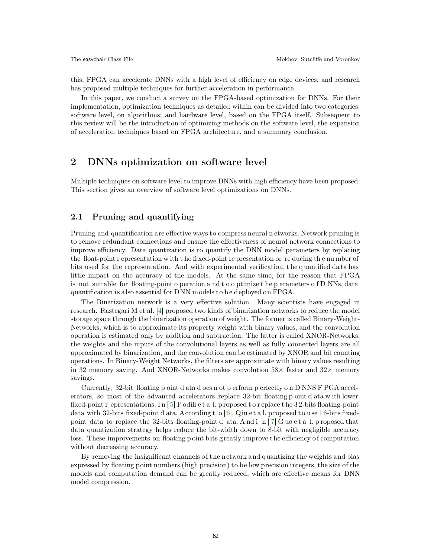this, FPGA can accelerate DNNs with a high level of efficiency on edge devices, and research has proposed multiple techniques for further acceleration in performance.

In this paper, we conduct a survey on the FPGA-based optimization for DNNs. For their implementation, optimization techniques as detailed within can be divided into two categories: software level, on algorithms; and hardware level, based on the FPGA itself. Subsequent to this review will be the introduction of optimizing methods on the software level, the expansion of acceleration techniques based on FPGA architecture, and a summary conclusion.

# 2 DNNs optimization on software level

Multiple techniques on software level to improve DNNs with high efficiency have been proposed. This section gives an overview of software level optimizations on DNNs.

### 2.1 Pruning and quantifying

Pruning and quantification are effective ways to compress neural n etworks. Network pruning is to remove redundant connections and ensure the effectiveness of neural network connections to improve efficiency. Data quantization is to quantify the DNN model parameters by replacing the float-point r epresentation w ith t he fi xed-point re presentation or re ducing th e nu mber of bits used for the representation. And with experimental verification, t he q uantified da ta has little impact on the accuracy of the models. At the same time, for the reason that FPGA is not suitable for floating-point o peration a nd t o o ptimize t he p arameters o f D NNs, data quantification is also essential for  $DNN$  models to be deployed on  $FPGA$ .

The Binarization network is a very effective solution. Many scientists have engaged in research. Rastegari M et al. [\[4\]](#page-5-0) proposed two kinds of binarization networks to reduce the model storage space through the binarization operation of weight. The former is called Binary-Weight-Networks, which is to approximate its property weight with binary values, and the convolution operation is estimated only by addition and subtraction. The latter is called XNOR-Networks, the weights and the inputs of the convolutional layers as well as fully connected layers are all approximated by binarization, and the convolution can be estimated by XNOR and bit counting operations. In Binary-Weight Networks, the filters are approximate with binary values resulting in 32 memory saving. And XNOR-Networks makes convolution  $58\times$  faster and  $32\times$  memory savings.

Currently, 32-bit floating p oint d ata d oes n ot p erform p erfectly o n D NNS F PGA accelerators, so most of the advanced accelerators replace 32-bit floating p oint d ata w ith lower fixed-point r epresentations. I n [ [5\]](#page-5-1) P odili e t a l. p roposed t o r eplace t he 3 2-bits floating-point data with 32-bits fixed-point d ata. According t o [[6\],](#page-5-2) Qiu et a l. proposed to use 16-bits fixedpoint data to replace the 32-bits floating-point d ata. And i n  $[7]$  $[7]$  G uo e t a l. p roposed that data quantization strategy helps reduce the bit-width down to 8-bit with negligible accuracy loss. These improvements on floating point bits greatly improve the efficiency of computation without decreasing accuracy.

By removing the insignificant channels of the network and quantizing the weights and bias expressed by floating point numbers (high precision) to be low precision integers, the size of the models and computation demand can be greatly reduced, which are effective means for DNN model compression.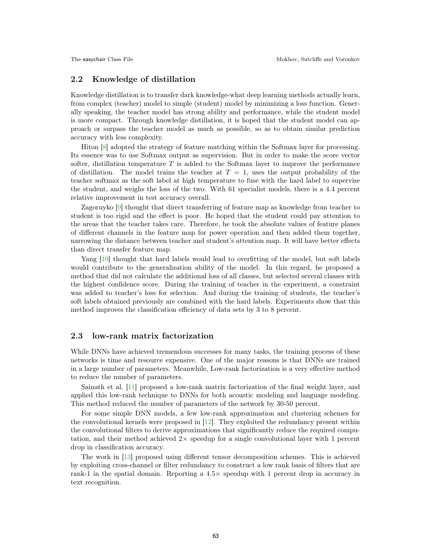### 2.2 Knowledge of distillation

Knowledge distillation is to transfer dark knowledge-what deep learning methods actually learn, from complex (teacher) model to simple (student) model by minimizing a loss function. Generally speaking, the teacher model has strong ability and performance, while the student model is more compact. Through knowledge distillation, it is hoped that the student model can approach or surpass the teacher model as much as possible, so as to obtain similar prediction accuracy with less complexity.

Hiton [\[8\]](#page-5-4) adopted the strategy of feature matching within the Softmax layer for processing. Its essence was to use Softmax output as supervision. But in order to make the score vector softer, distillation temperature  $T$  is added to the Softmax layer to improve the performance of distillation. The model trains the teacher at  $T = 1$ , uses the output probability of the teacher softmax as the soft label at high temperature to fuse with the hard label to supervise the student, and weighs the loss of the two. With 61 specialist models, there is a 4.4 percent relative improvement in test accuracy overall.

Zagoruyko [\[9\]](#page-6-0) thought that direct transferring of feature map as knowledge from teacher to student is too rigid and the effect is poor. He hoped that the student could pay attention to the areas that the teacher takes care. Therefore, he took the absolute values of feature planes of different channels in the feature map for power operation and then added them together, narrowing the distance between teacher and student's attention map. It will have better effects than direct transfer feature map.

Yang [\[10\]](#page-6-1) thought that hard labels would lead to overfitting of the model, but soft labels would contribute to the generalization ability of the model. In this regard, he proposed a method that did not calculate the additional loss of all classes, but selected several classes with the highest confidence score. During the training of teacher in the experiment, a constraint was added to teacher's loss for selection. And during the training of students, the teacher's soft labels obtained previously are combined with the hard labels. Experiments show that this method improves the classification efficiency of data sets by 3 to 8 percent.

### 2.3 low-rank matrix factorization

While DNNs have achieved tremendous successes for many tasks, the training process of these networks is time and resource expensive. One of the major reasons is that DNNs are trained in a large number of parameters. Meanwhile, Low-rank factorization is a very effective method to reduce the number of parameters.

Sainath et al. [\[11\]](#page-6-2) proposed a low-rank matrix factorization of the final weight layer, and applied this low-rank technique to DNNs for both acoustic modeling and language modeling. This method reduced the number of parameters of the network by 30-50 percent.

For some simple DNN models, a few low-rank approximation and clustering schemes for the convolutional kernels were proposed in [\[12\]](#page-6-3). They exploited the redundancy present within the convolutional filters to derive approximations that significantly reduce the required computation, and their method achieved  $2\times$  speedup for a single convolutional layer with 1 percent drop in classification accuracy.

The work in [\[13\]](#page-6-4) proposed using different tensor decomposition schemes. This is achieved by exploiting cross-channel or filter redundancy to construct a low rank basis of filters that are rank-1 in the spatial domain. Reporting a  $4.5\times$  speedup with 1 percent drop in accuracy in text recognition.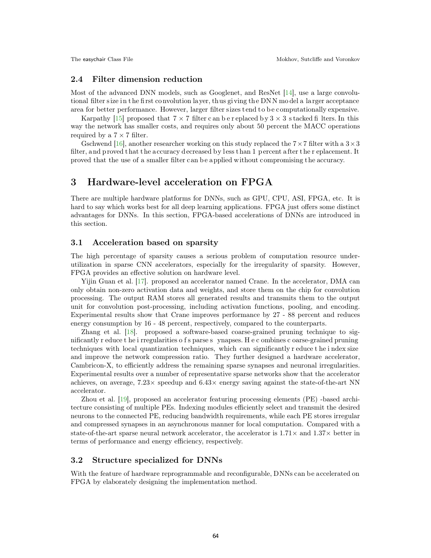### 2.4 Filter dimension reduction

Most of the advanced DNN models, such as Googlenet, and ResNet [\[14\],](#page-6-5) use a large convolutional filter size in the first convolution layer, thus giving the DNN model a larger acceptance area for better performance. However, larger filter sizes tend to be computationally expensive.

Karpathy [\[15\]](#page-6-6) proposed that  $7 \times 7$  filter c an b e r eplaced by  $3 \times 3$  s tacked fi lters. In this way the network has smaller costs, and requires only about 50 percent the MACC operations required by a  $7 \times 7$  filter.

Gschwend [\[16\]](#page-6-7), another researcher working on this study replaced the  $7 \times 7$  filter with a  $3 \times 3$ filter, and proved that the accuracy decreased by less than 1 percent after the r eplacement. It proved that the use of a smaller filter can b e applied without compromising the accuracy.

# 3 Hardware-level acceleration on FPGA

There are multiple hardware platforms for DNNs, such as GPU, CPU, ASI, FPGA, etc. It is hard to say which works best for all deep learning applications. FPGA just offers some distinct advantages for DNNs. In this section, FPGA-based accelerations of DNNs are introduced in this section.

### 3.1 Acceleration based on sparsity

The high percentage of sparsity causes a serious problem of computation resource underutilization in sparse CNN accelerators, especially for the irregularity of sparsity. However, FPGA provides an effective solution on hardware level.

Yijin Guan et al. [\[17\].](#page-6-8) proposed an accelerator named Crane. In the accelerator, DMA can only obtain non-zero activation data and weights, and store them on the chip for convolution processing. The output RAM stores all generated results and transmits them to the output unit for convolution post-processing, including activation functions, pooling, and encoding. Experimental results show that Crane improves performance by 27 - 88 percent and reduces energy consumption by 16 - 48 percent, respectively, compared to the counterparts.

Zhang et al. [\[18\].](#page-6-9) proposed a software-based coarse-grained pruning technique to significantly r educe t he i rregularities o f s parse s ynapses. H e c ombines c oarse-grained pruning techniques with local quantization techniques, which can significantly r educe t he i ndex size and improve the network compression ratio. They further designed a hardware accelerator, Cambricon-X, to efficiently address the remaining sparse synapses and neuronal irregularities. Experimental results over a number of representative sparse networks show that the accelerator achieves, on average,  $7.23 \times$  speedup and  $6.43 \times$  energy saving against the state-of-the-art NN accelerator.

Zhou et al. [\[19\]](#page-6-10), proposed an accelerator featuring processing elements (PE) -based architecture consisting of multiple PEs. Indexing modules efficiently select and transmit the desired neurons to the connected PE, reducing bandwidth requirements, while each PE stores irregular and compressed synapses in an asynchronous manner for local computation. Compared with a state-of-the-art sparse neural network accelerator, the accelerator is  $1.71\times$  and  $1.37\times$  better in terms of performance and energy efficiency, respectively.

### 3.2 Structure specialized for DNNs

With the feature of hardware reprogrammable and reconfigurable, DNNs can be accelerated on FPGA by elaborately designing the implementation method.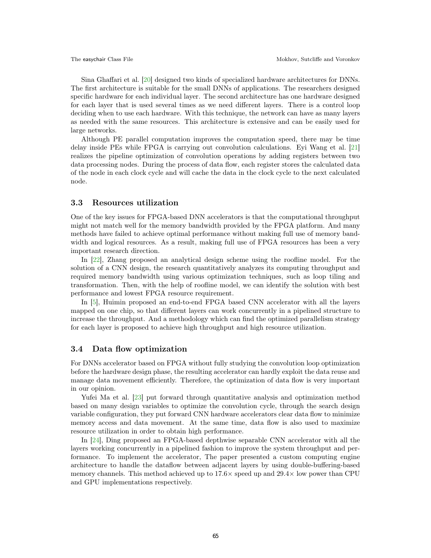Sina Ghaffari et al. [\[20\]](#page-6-11) designed two kinds of specialized hardware architectures for DNNs. The first architecture is suitable for the small DNNs of applications. The researchers designed specific hardware for each individual layer. The second architecture has one hardware designed for each layer that is used several times as we need different layers. There is a control loop deciding when to use each hardware. With this technique, the network can have as many layers as needed with the same resources. This architecture is extensive and can be easily used for large networks.

Although PE parallel computation improves the computation speed, there may be time delay inside PEs while FPGA is carrying out convolution calculations. Eyi Wang et al. [\[21\]](#page-6-12) realizes the pipeline optimization of convolution operations by adding registers between two data processing nodes. During the process of data flow, each register stores the calculated data of the node in each clock cycle and will cache the data in the clock cycle to the next calculated node.

### 3.3 Resources utilization

One of the key issues for FPGA-based DNN accelerators is that the computational throughput might not match well for the memory bandwidth provided by the FPGA platform. And many methods have failed to achieve optimal performance without making full use of memory bandwidth and logical resources. As a result, making full use of FPGA resources has been a very important research direction.

In [\[22\]](#page-6-13), Zhang proposed an analytical design scheme using the roofline model. For the solution of a CNN design, the research quantitatively analyzes its computing throughput and required memory bandwidth using various optimization techniques, such as loop tiling and transformation. Then, with the help of roofline model, we can identify the solution with best performance and lowest FPGA resource requirement.

In [\[5\]](#page-5-1), Huimin proposed an end-to-end FPGA based CNN accelerator with all the layers mapped on one chip, so that different layers can work concurrently in a pipelined structure to increase the throughput. And a methodology which can find the optimized parallelism strategy for each layer is proposed to achieve high throughput and high resource utilization.

### 3.4 Data flow optimization

For DNNs accelerator based on FPGA without fully studying the convolution loop optimization before the hardware design phase, the resulting accelerator can hardly exploit the data reuse and manage data movement efficiently. Therefore, the optimization of data flow is very important in our opinion.

Yufei Ma et al. [\[23\]](#page-6-14) put forward through quantitative analysis and optimization method based on many design variables to optimize the convolution cycle, through the search design variable configuration, they put forward CNN hardware accelerators clear data flow to minimize memory access and data movement. At the same time, data flow is also used to maximize resource utilization in order to obtain high performance.

In [\[24\]](#page-6-15), Ding proposed an FPGA-based depthwise separable CNN accelerator with all the layers working concurrently in a pipelined fashion to improve the system throughput and performance. To implement the accelerator, The paper presented a custom computing engine architecture to handle the dataflow between adjacent layers by using double-buffering-based memory channels. This method achieved up to  $17.6\times$  speed up and  $29.4\times$  low power than CPU and GPU implementations respectively.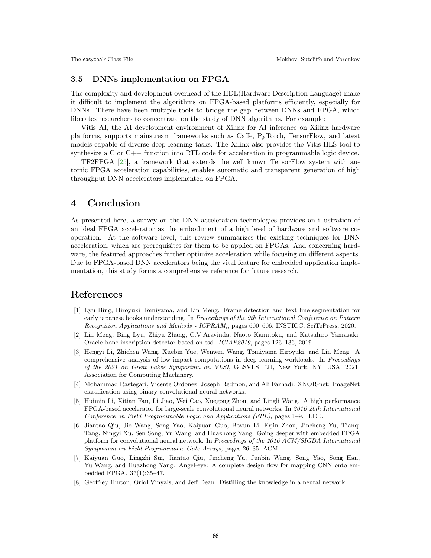### 3.5 DNNs implementation on FPGA

The complexity and development overhead of the HDL(Hardware Description Language) make it difficult to implement the algorithms on FPGA-based platforms efficiently, especially for DNNs. There have been multiple tools to bridge the gap between DNNs and FPGA, which liberates researchers to concentrate on the study of DNN algorithms. For example:

Vitis AI, the AI development environment of Xilinx for AI inference on Xilinx hardware platforms, supports mainstream frameworks such as Caffe, PyTorch, TensorFlow, and latest models capable of diverse deep learning tasks. The Xilinx also provides the Vitis HLS tool to synthesize a C or  $C_{++}$  function into RTL code for acceleration in programmable logic device.

TF2FPGA [\[25\]](#page-6-16), a framework that extends the well known TensorFlow system with automic FPGA acceleration capabilities, enables automatic and transparent generation of high throughput DNN accelerators implemented on FPGA.

### 4 Conclusion

As presented here, a survey on the DNN acceleration technologies provides an illustration of an ideal FPGA accelerator as the embodiment of a high level of hardware and software cooperation. At the software level, this review summarizes the existing techniques for DNN acceleration, which are prerequisites for them to be applied on FPGAs. And concerning hardware, the featured approaches further optimize acceleration while focusing on different aspects. Due to FPGA-based DNN accelerators being the vital feature for embedded application implementation, this study forms a comprehensive reference for future research.

### References

- [1] Lyu Bing, Hiroyuki Tomiyama, and Lin Meng. Frame detection and text line segmentation for early japanese books understanding. In Proceedings of the 9th International Conference on Pattern Recognition Applications and Methods - ICPRAM,, pages 600–606. INSTICC, SciTePress, 2020.
- [2] Lin Meng, Bing Lyu, Zhiyu Zhang, C.V.Aravinda, Naoto Kamitoku, and Katsuhiro Yamazaki. Oracle bone inscription detector based on ssd. ICIAP2019, pages 126–136, 2019.
- [3] Hengyi Li, Zhichen Wang, Xuebin Yue, Wenwen Wang, Tomiyama Hiroyuki, and Lin Meng. A comprehensive analysis of low-impact computations in deep learning workloads. In Proceedings of the 2021 on Great Lakes Symposium on VLSI, GLSVLSI '21, New York, NY, USA, 2021. Association for Computing Machinery.
- <span id="page-5-0"></span>[4] Mohammad Rastegari, Vicente Ordonez, Joseph Redmon, and Ali Farhadi. XNOR-net: ImageNet classification using binary convolutional neural networks.
- <span id="page-5-1"></span>[5] Huimin Li, Xitian Fan, Li Jiao, Wei Cao, Xuegong Zhou, and Lingli Wang. A high performance FPGA-based accelerator for large-scale convolutional neural networks. In 2016 26th International Conference on Field Programmable Logic and Applications (FPL), pages 1–9. IEEE.
- <span id="page-5-2"></span>[6] Jiantao Qiu, Jie Wang, Song Yao, Kaiyuan Guo, Boxun Li, Erjin Zhou, Jincheng Yu, Tianqi Tang, Ningyi Xu, Sen Song, Yu Wang, and Huazhong Yang. Going deeper with embedded FPGA platform for convolutional neural network. In Proceedings of the 2016 ACM/SIGDA International Symposium on Field-Programmable Gate Arrays, pages 26–35. ACM.
- <span id="page-5-3"></span>[7] Kaiyuan Guo, Lingzhi Sui, Jiantao Qiu, Jincheng Yu, Junbin Wang, Song Yao, Song Han, Yu Wang, and Huazhong Yang. Angel-eye: A complete design flow for mapping CNN onto embedded FPGA. 37(1):35–47.
- <span id="page-5-4"></span>[8] Geoffrey Hinton, Oriol Vinyals, and Jeff Dean. Distilling the knowledge in a neural network.